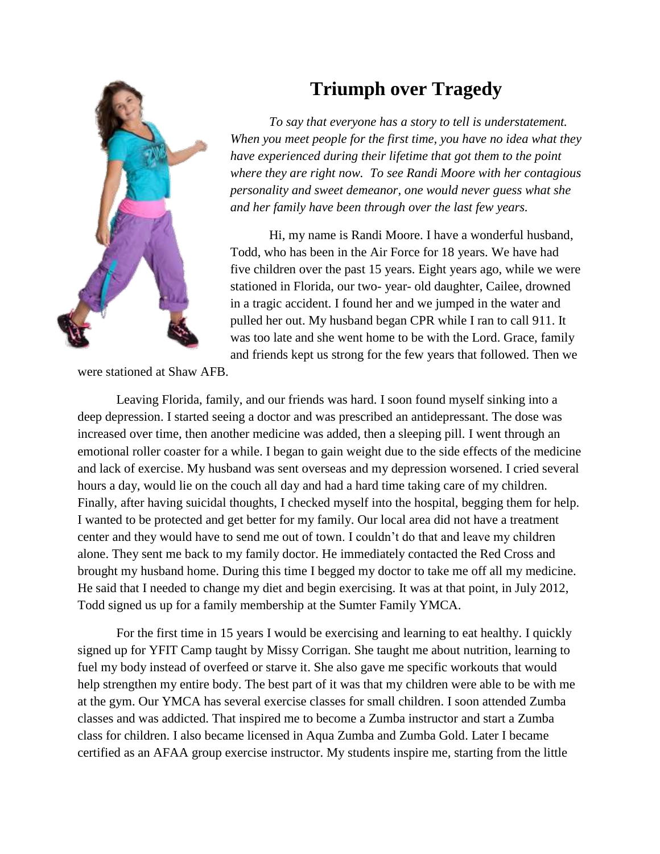

## **Triumph over Tragedy**

*To say that everyone has a story to tell is understatement. When you meet people for the first time, you have no idea what they have experienced during their lifetime that got them to the point where they are right now. To see Randi Moore with her contagious personality and sweet demeanor, one would never guess what she and her family have been through over the last few years.* 

Hi, my name is Randi Moore. I have a wonderful husband, Todd, who has been in the Air Force for 18 years. We have had five children over the past 15 years. Eight years ago, while we were stationed in Florida, our two- year- old daughter, Cailee, drowned in a tragic accident. I found her and we jumped in the water and pulled her out. My husband began CPR while I ran to call 911. It was too late and she went home to be with the Lord. Grace, family and friends kept us strong for the few years that followed. Then we

were stationed at Shaw AFB.

Leaving Florida, family, and our friends was hard. I soon found myself sinking into a deep depression. I started seeing a doctor and was prescribed an antidepressant. The dose was increased over time, then another medicine was added, then a sleeping pill. I went through an emotional roller coaster for a while. I began to gain weight due to the side effects of the medicine and lack of exercise. My husband was sent overseas and my depression worsened. I cried several hours a day, would lie on the couch all day and had a hard time taking care of my children. Finally, after having suicidal thoughts, I checked myself into the hospital, begging them for help. I wanted to be protected and get better for my family. Our local area did not have a treatment center and they would have to send me out of town. I couldn't do that and leave my children alone. They sent me back to my family doctor. He immediately contacted the Red Cross and brought my husband home. During this time I begged my doctor to take me off all my medicine. He said that I needed to change my diet and begin exercising. It was at that point, in July 2012, Todd signed us up for a family membership at the Sumter Family YMCA.

For the first time in 15 years I would be exercising and learning to eat healthy. I quickly signed up for YFIT Camp taught by Missy Corrigan. She taught me about nutrition, learning to fuel my body instead of overfeed or starve it. She also gave me specific workouts that would help strengthen my entire body. The best part of it was that my children were able to be with me at the gym. Our YMCA has several exercise classes for small children. I soon attended Zumba classes and was addicted. That inspired me to become a Zumba instructor and start a Zumba class for children. I also became licensed in Aqua Zumba and Zumba Gold. Later I became certified as an AFAA group exercise instructor. My students inspire me, starting from the little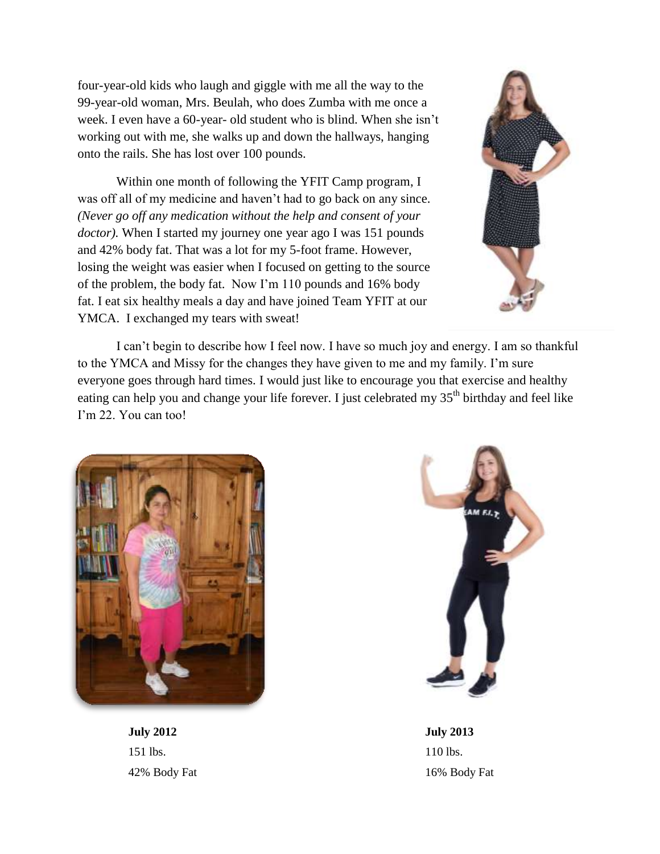four-year-old kids who laugh and giggle with me all the way to the 99-year-old woman, Mrs. Beulah, who does Zumba with me once a week. I even have a 60-year- old student who is blind. When she isn't working out with me, she walks up and down the hallways, hanging onto the rails. She has lost over 100 pounds.

Within one month of following the YFIT Camp program, I was off all of my medicine and haven't had to go back on any since. *(Never go off any medication without the help and consent of your doctor).* When I started my journey one year ago I was 151 pounds and 42% body fat. That was a lot for my 5-foot frame. However, losing the weight was easier when I focused on getting to the source of the problem, the body fat. Now I'm 110 pounds and 16% body fat. I eat six healthy meals a day and have joined Team YFIT at our YMCA. I exchanged my tears with sweat!



I can't begin to describe how I feel now. I have so much joy and energy. I am so thankful to the YMCA and Missy for the changes they have given to me and my family. I'm sure everyone goes through hard times. I would just like to encourage you that exercise and healthy eating can help you and change your life forever. I just celebrated my  $35<sup>th</sup>$  birthday and feel like I'm 22. You can too!



**July 2012**  151 lbs. 42% Body Fat



**July 2013**  110 lbs. 16% Body Fat